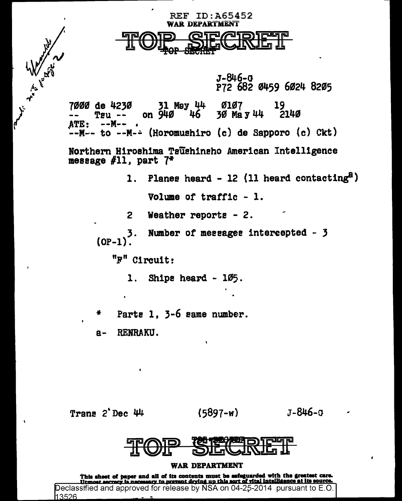$J - 846 - G$ P72 682 0459 6024 8205

7000 de 4230 31 May 44 **0107** 30 May 44 2140 on 940 TAU 46 -ATE: -- M----M-- to --M-- (Horomushiro (c) de Sapporo (c) Ckt)

**REF ID: A65452 WAR DEPARTMENT** 

Northern Hiroshima Taushinsho American Intelligence message  $#11$ . part  $7*$ 

> Planes heard - 12 (11 heard contacting<sup>8</sup>)  $\mathbf{1}$ . Volume of traffic - 1.

Weather reports  $-2$ .  $\overline{2}$ 

Number of messages intercepted - 3 3.  $(OP-1)$ .

"F" Circuit:

Ships heard - 105.  $\mathbf{1}$ .

Parts 1, 3-6 same number. 4

RENRAKU.  $a -$ 

Trans 2 Dec 44

**Simply of the Contract of Contract of the Contract of Contract of Contract of Contract of Contract of Contract of Contract of Contract of Contract of Contract of Contract of Contract of Contract of Contract of Contract of** 

 $(5897 - w)$ 

 $J - 846 - 3$ 

WAR DEPARTMENT

This sheet of paper and all of its contents must be safeguarded with the greatest care.<br>Utmost secrecy is necessary to prevent drying up this sort of vital intelligence at its source.<br>Declassified and approved for release 13526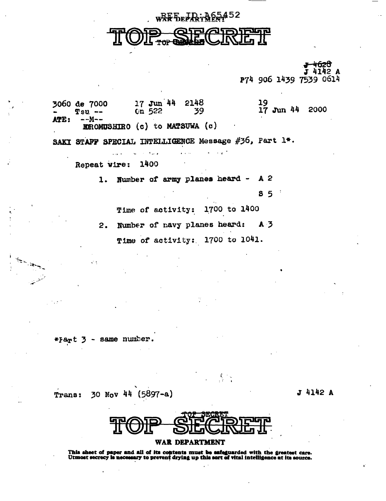wRFFEFREERF85452

-626 4142 A P74 906 1439 7539 0614

17 Jun 44 2148 19 3060 de 7000 17 Jun 44 2000  $Tsu$  --Cn 522 39 ATE: --M--**EROMUSHIRO** (c) to MATSUWA (c) SAKI STAFF SPECIAL INTELLIGENCE Message #36, Part 1\*. 1400 Repeat wire: Number of army planes heard -A 2  $1.$  $8<sub>5</sub>$ 

> 1700 to 1400 Time of activity:

Number of navy planes heard:  $A<sub>3</sub>$  $2.$ Time of activity: 1700 to 1041.

same number. \*Fart 3

Trans:

30 Nov 44 (5897-a)

J 4142 A



 $\frac{1}{2}$ 

#### WAR DEPARTMENT

This sheet of paper and all of its contents must be safeguarded with the greatest care.<br>Utmost secrecy is necessary to prevent drying up this sort of vital intelligence at its source.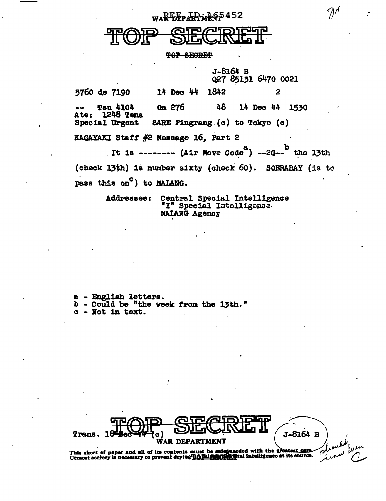WARE FREED AFRICATIONS

**TOP SECRET** 

J-8164 B Q27 85131 6470 0021

5760 <1e 7190 · *!* 14 Dec . 44 1842 2 Tau 4104 Ate: 1248 Tena Special Urgent On 276 48 SARE Pingrang (c) to Tokyo (c) 14 Dec 44 1530 KAGAYAKI Staff  $#2$  Message 16, Part 2

It is -------- (Air Move Code<sup>8</sup>) --2G--<sup>b</sup> the 13th (check 13th) is number s1xty (check 60). SOERABAY (is to pass this  $on^C$ ) to MAIANG.

> Addressee: Central.Special Intelligence "I" Special Intelligenae-MAIAHG Agency

a - English letters.<br>b - Could be "the week from the 13th."<br>c - Not in text. - Not in text.

Trens. 18-Bocch (C) SECRETT (J-8164 B)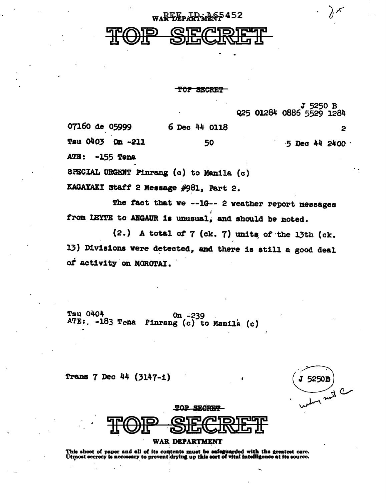## WARE EP FR MAP 5452

TOP SECRET

J 5250 B 925 01284 0886 5529 1284 07160 de 05999 6 Dec 44 0118  $\mathbf{P}$ Tsu 0403 **On -211** 50  $-5$  Dec  $44$  2400  $\cdot$ ATE:  $-155$  Tena

SPECIAL URGENT Pinrang (c) to Manila (c)

KAGAYAKI Staff 2 Message #981, Part 2.

The fact that we --1G-- 2 weather report messages from LEYTE to ANGAUR is unusual, and should be noted.

(2.) A total of  $7$  (ck.  $7$ ) units of the 13th (ck. 13) Divisions were detected, and there is still a good deal of activity on MOROTAI.

**Tsu 0404**  $0n - 239$ ATE: . -183 Tena Pinrang (c) to Manila (c)

Trans 7 Dec 44 (3147-1)

5250B Tract C



#### WAR DEPARTMENT

This sheet of paper and all of its contents must be safeguarded with the greatest care.<br>Utmost secrecy is necessary to prevent drying up this sort of vital intelligence at its source.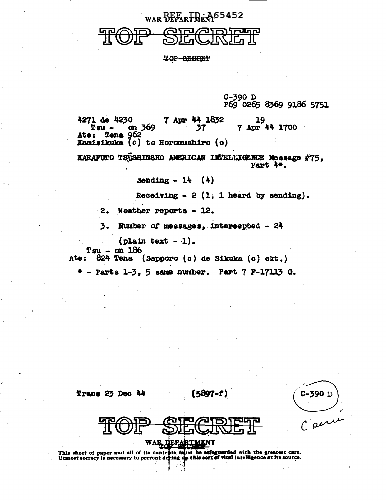## WAR BEFART REAG5452

TOP BECRET

C-390 D<br>P69 0265 8369 9186 5751

7 Apr 44 1832 4271 de 4230 7 Apr 44 1700 Tsu – on  $369$ 37 Ate: Tena 962 Kamisikuka (c) to Horomushiro (c)

KARAFUTO TSUSHINSHO AMERICAN IMTELLIGENCE Message #75, Part 4.

Sending  $-14$  (4)

Receiving  $-2$  (1; 1 heard by sending).

2. Weather reports - 12.

3. Number of messages, intereepted - 24

 $($ plain text - 1).

 $Tsu - on 186$ 

Ate: 824 Tena (Sapporo (c) de Sikuka (c) ckt.)

 $*$  - Parts 1-3, 5 same number. Part  $7$  F-17113 G.

Trans 23 Dec 44

 $(5897 - t)$ 

 $C-390$  D Carrie



This sheet of paper and all of its contents must be safeguarded with the greatest care.<br>Utmost secrecy is necessary to prevent drying up this sort of vital intelligence at its source.

 $\mathbb{R}^2$ 

Y